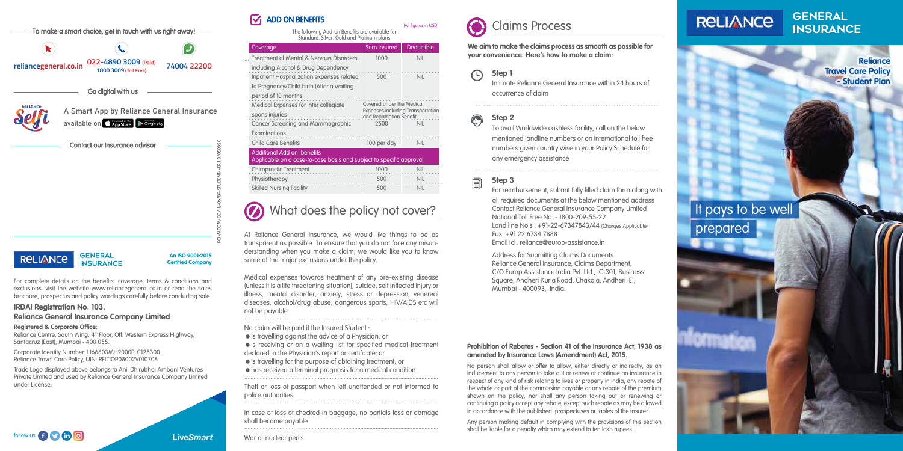#### **Prohibition of Rebates - Section 41 of the Insurance Act, 1938 as amended by Insurance Laws (Amendment) Act, 2015.**

No person shall allow or offer to allow, either directly or indirectly, as an inducement to any person to take out or renew or continue an insurance in respect of any kind of risk relating to lives or property in India, any rebate of the whole or part of the commission payable or any rebate of the premium shown on the policy, nor shall any person taking out or renewing or continuing a policy accept any rebate, except such rebate as may be allowed in accordance with the published prospectuses or tables of the insurer.

#### **Step 1**  $\bigcap$

Any person making default in complying with the provisions of this section shall be liable for a penalty which may extend to ten lakh rupees.

follow us **f C in**  $\odot$  **in**  $\odot$ 

# **RELIANCE**

**GENERAL INSURANCE** 



**We aim to make the claims process as smooth as possible for your convenience. Here's how to make a claim:**

> Intimate Reliance General Insurance within 24 hours of occurrence of claim

## **Step 2**

To avail Worldwide cashless facility, call on the below mentioned landline numbers or on International toll free numbers given country wise in your Policy Schedule for any emergency assistance

## **Step 3**

Reliance Centre, South Wing, 4<sup>th</sup> Floor, Off. Western Express Highway, Santacruz (East), Mumbai - 400 055.

For reimbursement, submit fully filled claim form along with all required documents at the below mentioned address Contact Reliance General Insurance Company Limited National Toll Free No. - 1800-209-55-22 Land line No's : +91-22-67347843/44 (Charges Applicable) Fax: +91 22 6734 7888

Email Id : reliance@europ-assistance.in

Address for Submitting Claims Documents Reliance General Insurance, Claims Department, C/O Europ Assistance India Pvt. Ltd., C-301, Business Square, Andheri Kurla Road, Chakala, Andheri (E), Mumbai - 400093, India.

. . . . . . . . . . . . . . . . . . . . . . . . . . . . . . . . . . . . . . . . . . . . . . . . . . . . . . . . . . . . . . . . . . . . .



. . . . . . . . . . . . . . . . . . . . . . . . . . . . . . . . . . . . . . . . . . . . . . . . . . . . . . . . . . . . . . . . . . . . .

For complete details on the benefits, coverage, terms & conditions and exclusions, visit the website www.reliancegeneral.co.in or read the sales brochure, prospectus and policy wordings carefully before concluding sale.

#### **IRDAI Registration No. 103.**

#### **Reliance General Insurance Company Limited**

#### **Registered & Corporate Office:**

Corporate Identity Number: U66603MH2000PLC128300. Reliance Travel Care Policy, UIN: RELTIOP08002V010708

Trade Logo displayed above belongs to Anil Dhirubhai Ambani Ventures Private Limited and used by Reliance General Insurance Company Limited under License.



**INSURANCE** 

#### ADD ON BENEFITS M

# It pays to be well prepared

At Reliance General Insurance, we would like things to be as transparent as possible. To ensure that you do not face any misunderstanding when you make a claim, we would like you to know some of the major exclusions under the policy.

Medical expenses towards treatment of any pre-existing disease (unless it is a life threatening situation), suicide, self inflected injury or illness, mental disorder, anxiety, stress or depression, venereal diseases, alcohol/drug abuse, dangerous sports, HIV/AIDS etc will not be payable

No claim will be paid if the Insured Student :

- is travelling against the advice of a Physician; or
- $\bullet$  is receiving or on a waiting list for specified medical treatment declared in the Physician's report or certificate; or
- is travelling for the purpose of obtaining treatment; or
- has received a terminal prognosis for a medical condition ...............................................................................................................................

War or nuclear perils

...............................................................................................................................

Theft or loss of passport when left unattended or not informed to police authorities ...............................................................................................................................

In case of loss of checked-in baggage, no partials loss or damage shall become payable ...............................................................................................................................

# What does the policy not cover?

The following Add-on Benefits are available for Standard, Silver, Gold and Platinum plans

(All figures in USD)

| Sum Insured                                                                                       | <b>Deductible</b> |  |  |  |  |  |  |
|---------------------------------------------------------------------------------------------------|-------------------|--|--|--|--|--|--|
| 1000                                                                                              | NII               |  |  |  |  |  |  |
| 500                                                                                               | NII               |  |  |  |  |  |  |
|                                                                                                   |                   |  |  |  |  |  |  |
| Covered under the Medical<br><b>Expenses including Transportation</b><br>and Repatriation Benefit |                   |  |  |  |  |  |  |
| 2500                                                                                              | NII               |  |  |  |  |  |  |
|                                                                                                   |                   |  |  |  |  |  |  |
| 100 per day                                                                                       | <b>NIL</b>        |  |  |  |  |  |  |
| Additional Add on benefits<br>Applicable on a case-to-case basis and subject to specific approval |                   |  |  |  |  |  |  |
| 1000                                                                                              | <b>NIL</b>        |  |  |  |  |  |  |
| 500                                                                                               | <b>NIL</b>        |  |  |  |  |  |  |
| 500                                                                                               | <b>NIL</b>        |  |  |  |  |  |  |
|                                                                                                   |                   |  |  |  |  |  |  |

**Reliance Travel Care Policy - Student Plan**